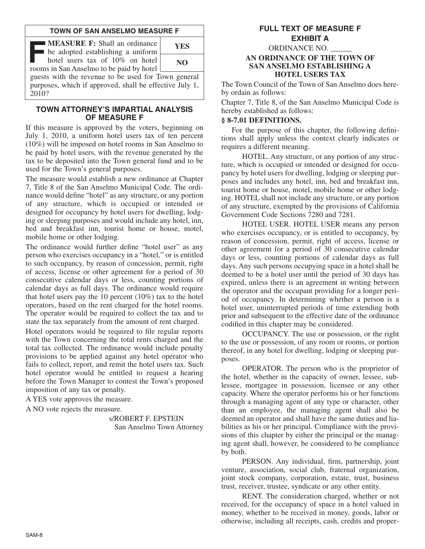### **TOWN OF SAN ANSELMO MEASURE F**

| <b>IMEASURE F:</b> Shall an ordinance<br>be adopted establishing a uniform                                              | YES. |
|-------------------------------------------------------------------------------------------------------------------------|------|
| hotel users tax of 10% on hotel<br>rooms in San Anselmo to be paid by hotel                                             | NO.  |
| guests with the revenue to be used for Town general<br>purposes, which if approved, shall be effective July 1,<br>2010? |      |

### **TOWN ATTORNEY'S IMPARTIAL ANALYSIS OF MEASURE F**

If this measure is approved by the voters, beginning on July 1, 2010, a uniform hotel users tax of ten percent (10%) will be imposed on hotel rooms in San Anselmo to be paid by hotel users, with the revenue generated by the tax to be deposited into the Town general fund and to be used for the Town's general purposes.

The measure would establish a new ordinance at Chapter 7, Title 8 of the San Anselmo Municipal Code. The ordinance would define "hotel" as any structure, or any portion of any structure, which is occupied or intended or designed for occupancy by hotel users for dwelling, lodging or sleeping purposes and would include any hotel, inn, bed and breakfast inn, tourist home or house, motel, mobile home or other lodging.

The ordinance would further define "hotel user" as any person who exercises occupancy in a "hotel," or is entitled to such occupancy, by reason of concession, permit, right of access, license or other agreement for a period of 30 consecutive calendar days or less, counting portions of calendar days as full days. The ordinance would require that hotel users pay the 10 percent  $(10\%)$  tax to the hotel operators, based on the rent charged for the hotel rooms. The operator would be required to collect the tax and to state the tax separately from the amount of rent charged.

Hotel operators would be required to file regular reports with the Town concerning the total rents charged and the total tax collected. The ordinance would include penalty provisions to be applied against any hotel operator who fails to collect, report, and remit the hotel users tax. Such hotel operator would be entitled to request a hearing before the Town Manager to contest the Town's proposed imposition of any tax or penalty.

A YES vote approves the measure.

A NO vote rejects the measure.

s/ROBERT F. EPSTEIN San Anselmo Town Attorney

# **FULL TEXT OF MEASURE F EXHIBIT A**

#### ORDINANCE NO. **AN ORDINANCE OF THE TOWN OF SAN ANSELMO ESTABLISHING A HOTEL USERS TAX**

The Town Council of the Town of San Anselmo does hereby ordain as follows:

Chapter 7, Title 8, of the San Anselmo Municipal Code is hereby established as follows:

### **§ 8-7.01 DEFINITIONS.**

For the purpose of this chapter, the following definitions shall apply unless the context clearly indicates or requires a different meaning.

HOTEL. Any structure, or any portion of any structure, which is occupied or intended or designed for occupancy by hotel users for dwelling, lodging or sleeping purposes and includes any hotel, inn, bed and breakfast inn, tourist home or house, motel, mobile home or other lodging. HOTEL shall not include any structure, or any portion of any structure, exempted by the provisions of California Government Code Sections 7280 and 7281.

HOTEL USER. HOTEL USER means any person who exercises occupancy, or is entitled to occupancy, by reason of concession, permit, right of access, license or other agreement for a period of 30 consecutive calendar days or less, counting portions of calendar days as full days. Any such persons occupying space in a hotel shall be deemed to be a hotel user until the period of 30 days has expired, unless there is an agreement in writing between the operator and the occupant providing for a longer period of occupancy. In determining whether a person is a hotel user, uninterrupted periods of time extending both prior and subsequent to the effective date of the ordinance codified in this chapter may be considered.

OCCUPANCY. The use or possession, or the right to the use or possession, of any room or rooms, or portion thereof, in any hotel for dwelling, lodging or sleeping purposes.

OPERATOR. The person who is the proprietor of the hotel, whether in the capacity of owner, lessee, sublessee, mortgagee in possession, licensee or any other capacity. Where the operator performs his or her functions through a managing agent of any type or character, other than an employee, the managing agent shall also be deemed an operator and shall have the same duties and liabilities as his or her principal. Compliance with the provisions of this chapter by either the principal or the managing agent shall, however, be considered to be compliance by both.

PERSON. Any individual, firm, partnership, joint venture, association, social club, fraternal organization, joint stock company, corporation, estate, trust, business trust, receiver, trustee, syndicate or any other entity.

RENT. The consideration charged, whether or not received, for the occupancy of space in a hotel valued in money, whether to be received in money, goods, labor or otherwise, including all receipts, cash, credits and proper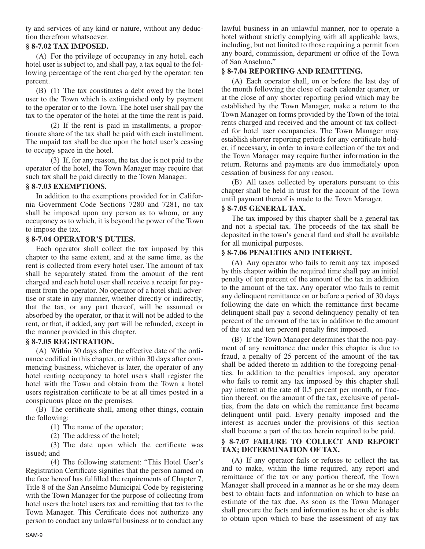ty and services of any kind or nature, without any deduction therefrom whatsoever.

### **§ 8-7.02 TAX IMPOSED.**

(A) For the privilege of occupancy in any hotel, each hotel user is subject to, and shall pay, a tax equal to the following percentage of the rent charged by the operator: ten percent.

(B) (1) The tax constitutes a debt owed by the hotel user to the Town which is extinguished only by payment to the operator or to the Town. The hotel user shall pay the tax to the operator of the hotel at the time the rent is paid.

(2) If the rent is paid in installments, a proportionate share of the tax shall be paid with each installment. The unpaid tax shall be due upon the hotel user's ceasing to occupy space in the hotel.

(3) If, for any reason, the tax due is not paid to the operator of the hotel, the Town Manager may require that such tax shall be paid directly to the Town Manager.

### **§ 8-7.03 EXEMPTIONS.**

In addition to the exemptions provided for in California Government Code Sections 7280 and 7281, no tax shall be imposed upon any person as to whom, or any occupancy as to which, it is beyond the power of the Town to impose the tax.

### **§ 8-7.04 OPERATOR'S DUTIES.**

Each operator shall collect the tax imposed by this chapter to the same extent, and at the same time, as the rent is collected from every hotel user. The amount of tax shall be separately stated from the amount of the rent charged and each hotel user shall receive a receipt for payment from the operator. No operator of a hotel shall advertise or state in any manner, whether directly or indirectly, that the tax, or any part thereof, will be assumed or absorbed by the operator, or that it will not be added to the rent, or that, if added, any part will be refunded, except in the manner provided in this chapter.

### **§ 8-7.05 REGISTRATION.**

(A) Within 30 days after the effective date of the ordinance codified in this chapter, or within 30 days after commencing business, whichever is later, the operator of any hotel renting occupancy to hotel users shall register the hotel with the Town and obtain from the Town a hotel users registration certificate to be at all times posted in a conspicuous place on the premises.

(B) The certificate shall, among other things, contain the following:

(1) The name of the operator;

(2) The address of the hotel;

(3) The date upon which the certificate was issued; and

(4) The following statement: "This Hotel User's Registration Certificate signifies that the person named on the face hereof has fulfilled the requirements of Chapter 7, Title 8 of the San Anselmo Municipal Code by registering with the Town Manager for the purpose of collecting from hotel users the hotel users tax and remitting that tax to the Town Manager. This Certificate does not authorize any person to conduct any unlawful business or to conduct any lawful business in an unlawful manner, nor to operate a hotel without strictly complying with all applicable laws, including, but not limited to those requiring a permit from any board, commission, department or office of the Town of San Anselmo."

### **§ 8-7.04 REPORTING AND REMITTING.**

(A) Each operator shall, on or before the last day of the month following the close of each calendar quarter, or at the close of any shorter reporting period which may be established by the Town Manager, make a return to the Town Manager on forms provided by the Town of the total rents charged and received and the amount of tax collected for hotel user occupancies. The Town Manager may establish shorter reporting periods for any certificate holder, if necessary, in order to insure collection of the tax and the Town Manager may require further information in the return. Returns and payments are due immediately upon cessation of business for any reason.

(B) All taxes collected by operators pursuant to this chapter shall be held in trust for the account of the Town until payment thereof is made to the Town Manager.

### **§ 8-7.05 GENERAL TAX.**

The tax imposed by this chapter shall be a general tax and not a special tax. The proceeds of the tax shall be deposited in the town's general fund and shall be available for all municipal purposes.

### **§ 8-7.06 PENALTIES AND INTEREST.**

(A) Any operator who fails to remit any tax imposed by this chapter within the required time shall pay an initial penalty of ten percent of the amount of the tax in addition to the amount of the tax. Any operator who fails to remit any delinquent remittance on or before a period of 30 days following the date on which the remittance first became delinquent shall pay a second delinquency penalty of ten percent of the amount of the tax in addition to the amount of the tax and ten percent penalty first imposed.

(B) If the Town Manager determines that the non-payment of any remittance due under this chapter is due to fraud, a penalty of 25 percent of the amount of the tax shall be added thereto in addition to the foregoing penalties. In addition to the penalties imposed, any operator who fails to remit any tax imposed by this chapter shall pay interest at the rate of 0.5 percent per month, or fraction thereof, on the amount of the tax, exclusive of penalties, from the date on which the remittance first became delinquent until paid. Every penalty imposed and the interest as accrues under the provisions of this section shall become a part of the tax herein required to be paid.

### **§ 8-7.07 FAILURE TO COLLECT AND REPORT TAX; DETERMINATION OF TAX.**

(A) If any operator fails or refuses to collect the tax and to make, within the time required, any report and remittance of the tax or any portion thereof, the Town Manager shall proceed in a manner as he or she may deem best to obtain facts and information on which to base an estimate of the tax due. As soon as the Town Manager shall procure the facts and information as he or she is able to obtain upon which to base the assessment of any tax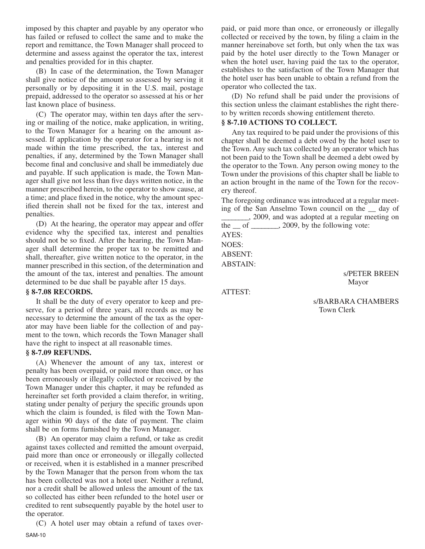imposed by this chapter and payable by any operator who has failed or refused to collect the same and to make the report and remittance, the Town Manager shall proceed to determine and assess against the operator the tax, interest and penalties provided for in this chapter.

(B) In case of the determination, the Town Manager shall give notice of the amount so assessed by serving it personally or by depositing it in the U.S. mail, postage prepaid, addressed to the operator so assessed at his or her last known place of business.

(C) The operator may, within ten days after the serving or mailing of the notice, make application, in writing, to the Town Manager for a hearing on the amount assessed. If application by the operator for a hearing is not made within the time prescribed, the tax, interest and penalties, if any, determined by the Town Manager shall become final and conclusive and shall be immediately due and payable. If such application is made, the Town Manager shall give not less than five days written notice, in the manner prescribed herein, to the operator to show cause, at a time; and place fixed in the notice, why the amount specified therein shall not be fixed for the tax, interest and penalties.

(D) At the hearing, the operator may appear and offer evidence why the specified tax, interest and penalties should not be so fixed. After the hearing, the Town Manager shall determine the proper tax to be remitted and shall, thereafter, give written notice to the operator, in the manner prescribed in this section, of the determination and the amount of the tax, interest and penalties. The amount determined to be due shall be payable after 15 days.

#### **§ 8-7.08 RECORDS.**

It shall be the duty of every operator to keep and preserve, for a period of three years, all records as may be necessary to determine the amount of the tax as the operator may have been liable for the collection of and payment to the town, which records the Town Manager shall have the right to inspect at all reasonable times.

#### **§ 8-7.09 REFUNDS.**

(A) Whenever the amount of any tax, interest or penalty has been overpaid, or paid more than once, or has been erroneously or illegally collected or received by the Town Manager under this chapter, it may be refunded as hereinafter set forth provided a claim therefor, in writing, stating under penalty of perjury the specific grounds upon which the claim is founded, is filed with the Town Manager within 90 days of the date of payment. The claim shall be on forms furnished by the Town Manager.

(B) An operator may claim a refund, or take as credit against taxes collected and remitted the amount overpaid, paid more than once or erroneously or illegally collected or received, when it is established in a manner prescribed by the Town Manager that the person from whom the tax has been collected was not a hotel user. Neither a refund, nor a credit shall be allowed unless the amount of the tax so collected has either been refunded to the hotel user or credited to rent subsequently payable by the hotel user to the operator.

(C) A hotel user may obtain a refund of taxes over-SAM-10

paid, or paid more than once, or erroneously or illegally collected or received by the town, by filing a claim in the manner hereinabove set forth, but only when the tax was paid by the hotel user directly to the Town Manager or when the hotel user, having paid the tax to the operator, establishes to the satisfaction of the Town Manager that the hotel user has been unable to obtain a refund from the operator who collected the tax.

(D) No refund shall be paid under the provisions of this section unless the claimant establishes the right thereto by written records showing entitlement thereto.

#### **§ 8-7.10 ACTIONS TO COLLECT.**

Any tax required to be paid under the provisions of this chapter shall be deemed a debt owed by the hotel user to the Town. Any such tax collected by an operator which has not been paid to the Town shall be deemed a debt owed by the operator to the Town. Any person owing money to the Town under the provisions of this chapter shall be liable to an action brought in the name of the Town for the recovery thereof.

The foregoing ordinance was introduced at a regular meeting of the San Anselmo Town council on the \_\_ day of

\_\_\_\_\_\_\_\_, 2009, and was adopted at a regular meeting on the  $\_\$  of  $\_\_\_\_\$ , 2009, by the following vote:

AYES: NOES: ABSENT: ABSTAIN:

> s/PETER BREEN Mayor

ATTEST:

s/BARBARA CHAMBERS Town Clerk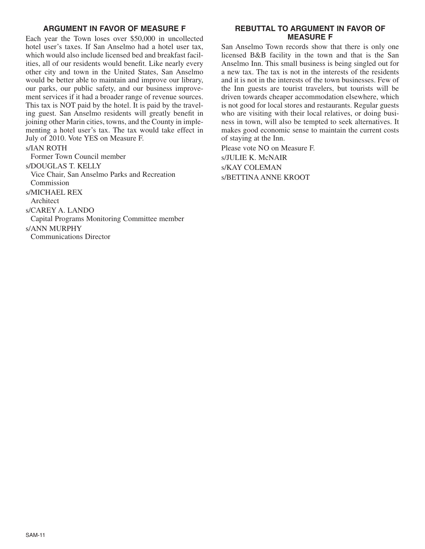### **ARGUMENT IN FAVOR OF MEASURE F**

Each year the Town loses over \$50,000 in uncollected hotel user's taxes. If San Anselmo had a hotel user tax, which would also include licensed bed and breakfast facilities, all of our residents would benefit. Like nearly every other city and town in the United States, San Anselmo would be better able to maintain and improve our library, our parks, our public safety, and our business improvement services if it had a broader range of revenue sources. This tax is NOT paid by the hotel. It is paid by the traveling guest. San Anselmo residents will greatly benefit in joining other Marin cities, towns, and the County in implementing a hotel user's tax. The tax would take effect in July of 2010. Vote YES on Measure F.

### s/IAN ROTH

Former Town Council member

s/DOUGLAS T. KELLY

Vice Chair, San Anselmo Parks and Recreation Commission

s/MICHAEL REX

Architect

s/CAREY A. LANDO

Capital Programs Monitoring Committee member s/ANN MURPHY

Communications Director

### **REBUTTAL TO ARGUMENT IN FAVOR OF MEASURE F**

San Anselmo Town records show that there is only one licensed B&B facility in the town and that is the San Anselmo Inn. This small business is being singled out for a new tax. The tax is not in the interests of the residents and it is not in the interests of the town businesses. Few of the Inn guests are tourist travelers, but tourists will be driven towards cheaper accommodation elsewhere, which is not good for local stores and restaurants. Regular guests who are visiting with their local relatives, or doing business in town, will also be tempted to seek alternatives. It makes good economic sense to maintain the current costs of staying at the Inn.

Please vote NO on Measure F. s/JULIE K. McNAIR s/KAY COLEMAN s/BETTINA ANNE KROOT